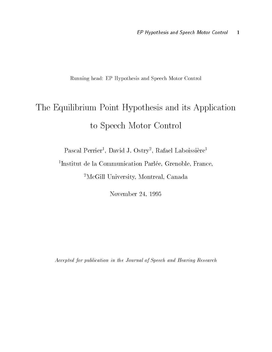Running head: EP Hypothesis and Speech Motor Control

# The Equilibrium Point Hypothesis and its Application to Speech Motor Control

Pascal Perrier David J- Ostry- Rafael Laboissiere

 Institut de la Communication Parlee Grenoble France -McGill University Montreal Canada

November 24, 1995

Accepted for publication in the Journal of Speech and Hearing Research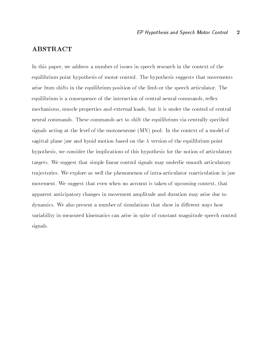### **ABSTRACT**

In this paper- we address a number of issues in speech research in the context of the equilibrium point hypothesis of motor control The hypothesis suggests that movements arise from shifts in the equilibrium position of the limb or the speech articulator The equilibrium is a consequence of the interaction of the interaction of the interaction of community and interact mechanisms- muscle properties and external loads- but it is under the control of central neural commands. These commands act to shift the equilibrium via centrally specified signals acting at the level of the motoneurone  $(MN)$  pool. In the context of a model of sagittal plane jaw and hyoid motion based on the  $\lambda$  version of the equilibrium point hypothesis- we consider the implications of this hypothesis for the notion of articulatory targets We suggest that simple linear control signals may underlie smooth articulatory tra jectories We explore as well the phenomenon of intraarticulator coarticulation in jaw movement was engaged that the when no account is the context of upcoming context, then the apparent anticipatory changes in movement amplitude and duration may arise due to dynamics. We also present a number of simulations that show in different ways how variability in measured kinematics can arise in spite of constant magnitude speech control signals.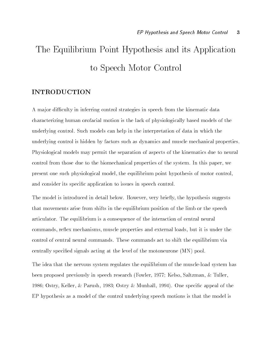# The Equilibrium Point Hypothesis and its Application to Speech Motor Control

### INTRODUCTION

A ma jor di culty in inferring control strategies in speech from the kinematic data characterizing human orofacial motion is the lack of physiologically based models of the underlying control Such models can help in the interpretation of data in which the underlying control is hidden by factors such as dynamics and muscle mechanical properties Physiological models may permit the separation of aspects of the kinematics due to neural control from those due to the biomechanical properties of the system In this paper- we present one such physiological model- the equilibrium point hypothesis of motor controland consider its specific application to issues in speech control.

The model is introduced in detail below However- very briey- the hypothesis suggests that movements arise from shifts in the equilibrium position of the limb or the speech articulator. The equilibrium is a consequence of the interaction of central neural communications are the communications of the properties and the communications are not be and the communication control of central neural commands These commands act to shift the equilibrium via centrally specified signals acting at the level of the motoneurone  $(MN)$  pool.

The idea that the nervous system regulates the equilibrium of the muscleload system has been proposed previously in speech research Fowler- 

 Kelso- Saltzman- Tuller- Ostry- Keller- Parush-  Ostry Munhall-  One specic appeal of the EP hypothesis as a model of the control underlying speech motions is that the model is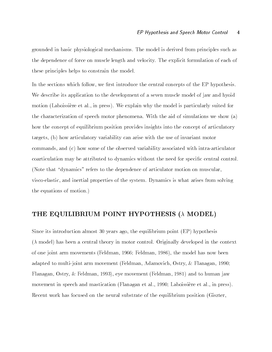grounded in basic physiological mechanisms The model is derived from principles such as the dependence of force on muscle length and velocity The explicit formulation of each of these principles helps to constrain the model

In the sections which follow- we rst introduce the central concepts of the EP hypothesis We describe its application to the development of a seven muscle model of jaw and hyoid motion (motion al-above et al-above press ). It suppresses why the model is particularly suited for the characterization of speech motor phenomena. With the aid of simulations we show  $(a)$ how the concept of equilibrium position provides insights into the concept of articulatory targets-definition articles with the use of invariant motor variability can arise with the use of invariant motor  $\mathcal{U}$ commands- and c how some of the observed variability associated with intraarticulator coarticulation may be attributed to dynamics without the need for specific central control. (Note that "dynamics" refers to the dependence of articulator motion on muscular. viscoelastic- and inertial properties of the system Dynamics is what arises from solving the equations of motion

### THE EQUILIBRIUM POINT HYPOTHESIS  $(\lambda \text{ MODEL})$

since its introduction almost its following and the equilibrium point (see for a process).  $(\lambda \text{ model})$  has been a central theory in motor control. Originally developed in the context of one joint most mother than  $\mathbb{F}_p$  community for the model of the model has now been controlled adapted to multiple form movement from the community of contract are also a contract for a contract of the co Flanagan- Ostry-Feldman- - eye movement Feldman-  and to human jaw movement in speech and mastication Flanagan et al-  Laboissiere et al- in press Recent work has focused on the neural substrate of the equilibrium position (Giszter,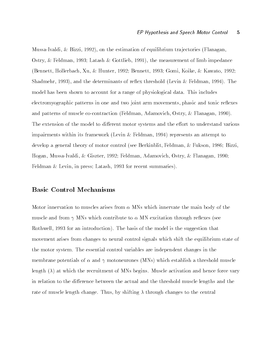MussaIvaldi- Bizzi- - on the estimation of equilibrium tra jectories Flanagan-Ostry-Feldman-  Latash Gottlieb- - the measurement of limb impedance and the state of the state of the state of the state of the state of the state of the state of the state of the Shadmehr- - and the determinants of reex threshold Levin Feldman-  The model has been shown to account for a range of physiological data This includes electromyographic patterns in one and two joint arm movements- phasic and tonic reexes and patterns of muscle cocontraction is the community for muscle collection for the muscle of the cocontraction The extension of the model to different motor systems and the effort to understand various impairments within its framework Levin Feldman-  represents an attempt to develop a general theory of motor control see Berkinblit-III and the Berkinblit-III and the Berkinblit-III and the Berkinblit-III and the Berkinblit-III and the Berkinblit-III and the Berkinblit-III and the Berkinblit-III Hogan- MussaIvaldi- Giszter-  Feldman- Adamovich- Ostry- Flanagan-   $\mathbf{L}$  in press Latash-Latash-Belgin-Belgin-Belgin-Belgin-Belgin-Belgin-Belgin-Belgin-Belgin-Belgin-Belgin-Belgin-Belgin-Belgin-Belgin-Belgin-Belgin-Belgin-Belgin-Belgin-Belgin-Belgin-Belgin-Belgin-Belgin-Belgin-Belgin-

#### Basic Control Mechanisms

Motor innervation to muscles arises from - MNs which innervate the main body of the muscle and from MNs which contribute to - MN excitation through reexes see retime the state of the basis of the basis of the model is the model is the suggestion that the model is the s movement arises from changes to neural control signals which shift the equilibrium state of the motor system The essential control variables are independent changes in the membrane potentials of a three potentials produced potential muscle muscle muscle muscle muscle and length  $(\lambda)$  at which the recruitment of MNs begins. Muscle activation and hence force vary in relation to the difference between the actual and the threshold muscle lengths and the rate of muscle length change Thus- by shifting through changes to the central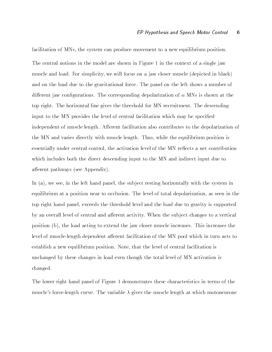facilitation of MNs- the system can produce movement to a new equilibrium position The central notions in the model are shown in Figure 1 in the context of a single jaw muscle and the simple simple focus on a jaw close on prior simplicity (in place in black in black, and on the load due to the gravitational force The panel on the left shows a number of di erent jaw congurations The corresponding depolarization of - MNs is shown at the top right. The horizontal line gives the threshold for MN recruitment. The descending input to the MN provides the level of central facilitation which may be specified independent of muscle length. Afferent facilitation also contributes to the depolarization of the MN and varies directly with muscle length Thus- while the equilibrium position is essentially under central control- the activation level of the MN reects a net contribution which includes both the direct descending input to the MN and indirect input due to afferent pathways (see Appendix).

In a- we see- in the left hand panel- the sub ject resting horizontally with the system in equilibrium at a position measure to occlusion The level of the level of the level of the level of the level of to party that the threshold level and the load due to the load due to the load due to gravity is supported to by an overall level of central and afferent activity. When the subject changes to a vertical position b- the load acting to extend the jaw closer muscle increases This increases the level of muscle-length dependent afferent facilitation of the MN pool which in turn acts to establish a new equilibrium position Note- that the level of central facilitation is unchanged by these changes in load even though the total level of MN activation is changed

The lower right hand panel of Figure 1 demonstrates these characteristics in terms of the muscle's force-length curve. The variable  $\lambda$  gives the muscle length at which motoneurone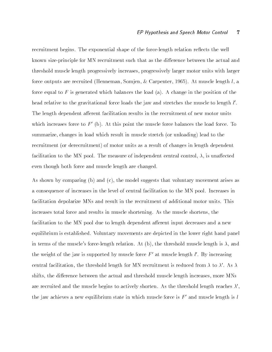recruitment begins. The exponential shape of the force-length relation reflects the well known size-principle for MN recruitment such that as the difference between the actual and threshold muscle length progressively increases- progressively larger motor units with larger  $\mathbf{A}$  , and at muscle length length length length length length length length length length length length length length length length length length length length length length length length length length length length force equal to F is generated which balances the load (a). A change in the position of the head relative to the gravitational force loads the jaw and stretches the muscle to length  $\iota$  . The length dependent afferent facilitation results in the recruitment of new motor units which increases force to  $F'$  (b). At this point the muscle force balances the load force. To summarize-different changes in local which result in  $\mathcal{M}$  is the total to the total to the total to the to the to the to the to the to the to the total to the to the total to the total to the total to the total to the recruitment (or derecruitment) of motor units as a result of changes in length dependent facilitation to the MN pool The measure of independent central control- - is una ected even though both force and muscle length are changed

As shown by comparing b and c- the model suggests that voluntary movement arises as a consequence of increases in the level of central facilitation to the MN pool Increases in facilitation depolarize MNs and result in the recruitment of additional motor units This increases total force and results in muscle shortening As the muscle shortens- the facilitation to the MN pool due to length dependent afferent input decreases and a new equilibrium is established. Voluntary movements are depicted in the lower right hand panel in the muscles forcelength relation  $\mathbf{A}$  b-b-control muscle length is the weight of the jaw is supported by inuscle force  $F$  at muscle length  $i$  . By increasing central facilitation, the threshold length for MIN recruitment is reduced from  $\lambda$  to  $\lambda$  . As  $\lambda$ shifts, the distribution that are muscle distinct muscle length increases in muscle increases increasesare recruited and the muscle begins to actively shorten. As the threshold length reaches  $\lambda'$ . the jaw achieves a new equilibrium state in which muscle force is  $F'$  and muscle length is l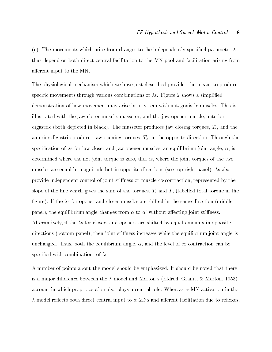(c). The movements which arise from changes to the independently specified parameter  $\lambda$ thus depend on both direct central facilitation to the MN pool and facilitation arising from afferent input to the MN.

The physiological mechanism which we have just described provides the means to produce specific movements through various combinations of  $\lambda$ s. Figure 2 shows a simplified demonstration of how movement may arise in a system with antagonistic muscles This is illustrated with the jaw close muscle-the interiors and the jaw opener muscle-the contract muscledigastric both depicted in black The masseter of the masseter jaw closing torquest with the closing anterior digastric produces jaw opening torques- To- in the opposite direction Through the species and jaw closer and jaw closer and jaw closer and jaw opener muscles-in and jaw closer and jaw closer angledetermined where the net joint torque is zero- that is- where the joint torques of the two muscles are equal in magnitude but in opposite directions (see top right panel). As also provide independent control of joint still of joint still of joint still be a still of the still of the still o selope of the line which gives the sum of the torques-  $\alpha$  and  $\alpha$ figure). If the  $\lambda$ s for opener and closer muscles are shifted in the same direction (middle panel), the equilibrium angle changes from  $\alpha$  to  $\alpha$  -without affecting joint stiffness. Alternatively- if the s for closers and openers are shifted by equal amounts in opposite directions bottom panel- then joint sti ness increases while the equilibrium joint angle is of the equilibrium and the equilibrium anglespecified with combinations of  $\lambda$ s.

A number of points about the model should be emphasized It should be noted that there is a man jor dimensioner with each the strain man directions of produced and Merton-Merton-Merton-T account in which proprieting also plays plays a central role which where where where  $\cdots$ model reects both direct central input to - MNs and a erent facilitation due to reexes-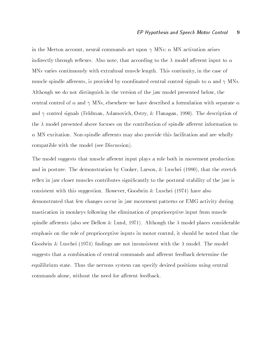in the Merton account- neural commands act upon MNs - MN activation arises indirectly through reexes Also note-that according to the  $\mathcal{M}$  $M$  varies continuously with extrafusal muscle length This continuity-continuity-continuity-case of  $\mathcal{M}$ muscle spindle a erents- is provided by coordinated central control signals to - and MNs Although we do not distinguish in the version of the jaw model presented below- the central control of - and MNs- elsewhere we have described a formulation with separate and control signals (in contracting control collecting and an  $\mathcal{A}^{m+1}$  , which control control control co the  $\lambda$  model presented above focuses on the contribution of spindle afferent information to - MN excitation Nonspindle and Annual intervention Nonspindle and are wholly provide this facilitation and are compatible with the model (see Discussion).

The model suggests that muscle afferent input plays a role both in movement production and in posture The demonstration by  $\mathcal{L} = \{1, \ldots, n\}$  . The stretch intervals the stretch in the stretch in reflex in jaw closer muscles contributes significantly to the postural stability of the jaw is consistent with this suggestion is such that the model of this support  $\mathcal{L}_{\mathcal{A}}$ demonstrated that few changes occur in jaw movement patterns or EMG activity during mastication in monkeys following the elimination of proprioceptive input from muscle spindle and also see Dellow Lund-Although the model places considerable places considerable places considerable emphasis on the role of proprioceptive inputs in motor control- it should be noted that the Goodwin & Luschei (1974) findings are not inconsistent with the  $\lambda$  model. The model suggests that a combination of central commands and afferent feedback determine the equilibrium state Thus the nervous system can specify desired positions using central communication and the need for a communication feedback for a contract for a communication of the need of  $\sim$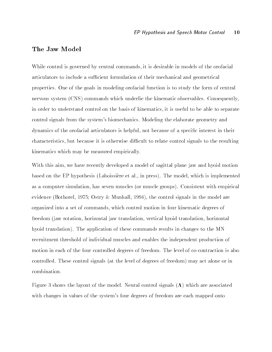### The Jaw Model

While control is governed by central community  $\mathcal{E}$  is desirable in models of the orofacial community of the orofacial community of the orifacial community of the orifacial community of the orifacial community of the articulators to include a superiors to include a superiors to include and geometrical and geometrical and geometrical and geometrical and geometrical and geometrical and geometrical and geometrical and geometrical and geo properties One of the goals in modeling orofacial function is to study the form of central nervous system (CNS) commands which underlie the kinematic observables. Consequently, in order to understand control on the basis of kinematics- it is useful to be able to separate control signals from the system's biomechanics. Modeling the elaborate geometry and dynamics of the orofacial articulators is helpful- not because of a specic interest in their characteristics-but because it is otherwise different to relate control signals to relate control signals to t kinematics which may be measured empirically

With this aim-developed a model of sagittal plane jaw and hyoid model of sagittal plane jaw and hyoid motion motion based on the EP hypothesis Laboissiere et al- in press The model- which is implemented as a computer simulation-part simulation-computer simulation-consistent with example with example with the cons  $\mathcal{N}$  . The control signals in the model are model as  $\mathcal{N}$  . The model are model are model are model as organized into a set of communication in four kinematic degrees of  $\mathbf{M}$ freedom jaw rotation- horizontal jaw translation- vertical hyoid translation- horizontal hyoid translation). The application of these commands results in changes to the MN recruitment threshold of individual muscles and enables the independent production of motion in each of the four controlled degrees of freedom. The level of co-contraction is also controlled. These control signals (at the level of degrees of freedom) may act alone or in combination

Figure 3 shows the layout of the model. Neural control signals  $(\Lambda)$  which are associated with changes in values of the system's four degrees of freedom are each mapped onto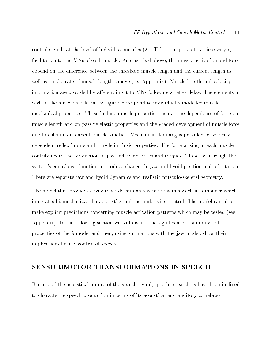control signals at the level of individual muscles  $(\lambda)$ . This corresponds to a time varying facilitation to the MNs of each muscle As described above- the muscle activation and force depend on the difference between the threshold muscle length and the current length as well as on the rate of muscle length change (see Appendix). Muscle length and velocity information are provided by afferent input to MNs following a reflex delay. The elements in each of the muscle blocks in the figure correspond to individually modelled muscle mechanical properties These include muscle properties such as the dependence of force on muscle length and on passive elastic properties and the graded development of muscle force due to calcium dependent muscle kinetics Mechanical damping is provided by velocity dependent reflex inputs and muscle intrinsic properties. The force arising in each muscle contributes to the production of jaw and hyoid forces and torques These act through the system's equations of motion to produce changes in jaw and hyoid position and orientation. There are separate jaw and hyoid dynamics and realistic musculo-skeletal geometry.

The model thus provides a way to study human jaw motions in speech in a manner which integrates biomechanical characteristics and the underlying control The model can also make explicit predictions concerning muscle activation patterns which may be tested (see Appendix). In the following section we will discuss the significance of a number of properties of the model and then- using simulations with the jaw model- show their implications for the control of speech

### SENSORIMOTOR TRANSFORMATIONS IN SPEECH

Because of the acoustical nature of the speech signal- speech researchers have been inclined to characterize speech production in terms of its acoustical and auditory correlates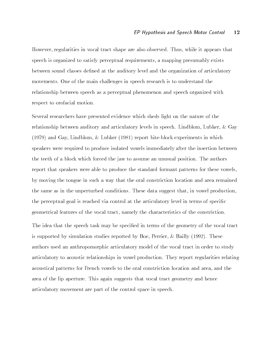However- regularities in vocal tract shape are also observed Thus- while it appears that speech is organized to satisfy perceptual requirements- a mapping presumably exists between sound classes defined at the auditory level and the organization of articulatory movements One of the main challenges in speech research is to understand the relationship between speech as a perceptual phenomenon and speech organized with respect to orofacial motion

Several researchers have presented evidence which sheds light on the nature of the relationship between auditory and articulatory levels in speech Lindblom-Communicatory in speech Lindblom- $\mathcal{L}$  . Lindblock experiments in which experiments in which experiments in which experiments in  $\mathcal{L}$ speakers were required to produce isolated vowels immediately after the insertion between the teeth of a block which forced the jaw to assume an unusual position. The authors report that speakers were able to produce the standard formant patterns for these vowelsby moving the tongue in such a way that the oral constriction location and area remained the same as in the unperturbed conditions These data suggest that- in vowel productionthe perceptual goal is reached via control at the articulatory level in terms of specific geometrical features of the vocal tracteristics of the characteristics of the constriction of

The idea that the speech task may be specified in terms of the geometry of the vocal tract is supported by simulation studies reported by Boe- Perrier- Bailly  These authors used an anthropomorphic articulatory model of the vocal tract in order to study articulatory to acoustic relationships in vowel production They report regularities relating acoustical patterns for French vowels to the oral constriction location and area- and the area of the lip aperture. This again suggests that vocal tract geometry and hence articulatory movement are part of the control space in speech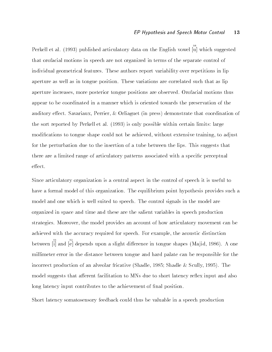Perkell et al. (1993) published articulatory data on the English vowel  $\overline{u}$  which suggested that orofacial motions in speech are not organized in terms of the separate control of individual geometrical features. These authors report variability over repetitions in lip aperture as well as in tongue position. These variations are correlated such that as lip aperture increases- more posterior tongue positions are observed Orofacial motions thus appear to be coordinated in a manner which is oriented towards the preservation of the auditory extern contracting a coordination of animalizer press pressed and contract the coordination of the sort reported by Perkell et al. (1993) is only possible within certain limits: large  $\mathbf{M}$  and be achieved-d-without extensive training-d-without extensive training-d-without extensive trainingfor the perturbation due to the insertion of a tube between the lips This suggests that there are a limited range of articulatory patterns associated with a specific perceptual effect.

Since articulatory organization is a central aspect in the control of speech it is useful to have a formal model of this organization. The equilibrium point hypothesis provides such a model and one which is well suited to speech The control signals in the model are organized in space and time and these are the salient variables in speech production strategies Moreover- the model provides an account of how articulatory movement can be achieved with the accuracy required for speech  $\blacksquare$ between [i] and [e] depends upon a slight difference in tongue shapes (Majid, 1986). A one millimeter error in the distance between tongue and hard palate can be responsible for the incorrect production of an alveolar fricative Shadle-Shadle-Shadle-Shadle-Shadle-Shadle-Shadle-Shadle-Shadle-S model suggests that afferent facilitation to MNs due to short latency reflex input and also long latency input contributes to the achievement of final position.

Short latency somatosensory feedback could thus be valuable in a speech production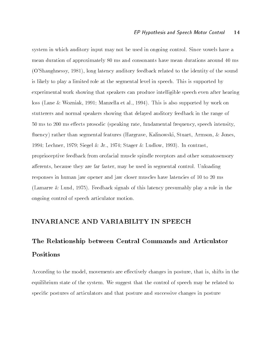system in which auditory input may not be used in ongoing control. Since vowels have a mean duration of approximately 80 ms and consonants have mean durations around 40 ms OShaughnessy- - long latency auditory feedback related to the identity of the sound is likely to play a limited role at the segmental level in speech This is supported by experimental work showing that speakers can produce intelligible speech even after hearing loss Lane Wozniak-  Manzella et al-  This is also supported by work on stutterers and normal speakers showing that delayed auditory feedback in the range of , and in motor and the prosodic speaking rate-intensity-communications in the speaking rate  $\mathcal{L}_{\mathcal{A}}$ uency rather than segmental feature-segmental feature-segmental feature-segmental feature-segmental features H  $\mathcal{L}$  . The stager is the stager in the stager in the stager in the stager is the stager in the stager in the stager in proprioceptive feedback from orofacial muscle spindle receptors and other somatosensory and the segmental control unit of  $\mathcal{A}$ responses in human jaw opener and jaw closer muscles have latencies of 10 to 20 ms  $\mathbf{A}$  . This latency play a role in this latency play a role in this latency play a role in the signals of the signals of the signals of the signals of the signals of the signals of the signals of the signals of the si ongoing control of speech articulator motion

### INVARIANCE AND VARIABILITY IN SPEECH

# The Relationship between Central Commands and Articulator Positions

According to the model- movements are e ectively changes in posture- that is- shifts in the equilibrium state of the system. We suggest that the control of speech may be related to specific postures of articulators and that posture and successive changes in posture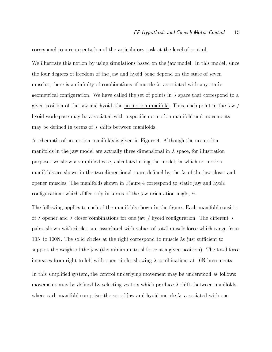correspond to a representation of the articulatory task at the level of control

we include this come because  $\alpha$  , we used on the simulations based on the since  $\alpha$  model in this model-come the four degrees of freedom of the jaw and hyoid bone depend on the state of seven muscles- there is an innity of combinations of muscle s associated with any static geometrical configuration. We have called the set of points in  $\lambda$  space that correspond to a given position in the jaw and hydrogenes mat hydrogenesis manifold Thus- point in the jaw j hyoid workspace may be associated with a specific no-motion manifold and movements may be defined in terms of  $\lambda$  shifts between manifolds.

A schematic of no-motion manifolds is given in Figure 4. Although the no-motion manifolds in the jaw model are actually three dimensional in space- for illustration purposes we show a simplied case- calculated using the model- in which nomotion manifolds are shown in the two-dimensional space defined by the  $\lambda$ s of the jaw closer and opener muscles. The manifolds shown in Figure 4 correspond to static jaw and hyoid concert directions which distributes which distributes of the javi-distribution and  $\pi$ 

The following applies to each of the manifolds shown in the figure. Each manifold consists of  $\lambda$  opener and  $\lambda$  closer combinations for one jaw / hyoid configuration. The different  $\lambda$ pairs- shown with circles- with values of the state with values of the circles- there is the pairs of the contr n to the solid circles at the solid corresponding to the right correspond to the corresponding to the correction support the weight of the jaw (the minimum total force at a given position). The total force increases from right to left with open circles showing  $\lambda$  combinations at 10N increments. In this simplied system- the control underlying movement may be understood as follows movements may be defined by selecting vectors which produce  $\lambda$  shifts between manifolds. where each manifold comprises the set of jaw and hyoid muscle  $\lambda$ s associated with one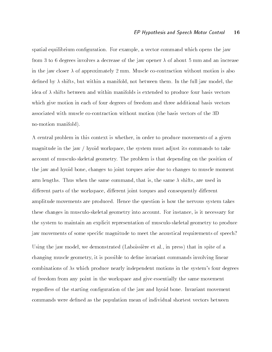spatial equilibrium conguration For example- a vector command which opens the jaw from 3 to 6 degrees involves a decrease of the jaw opener  $\lambda$  of about 5 mm and an increase in the jaw closer  $\lambda$  of approximately 2 mm. Muscle co-contraction without motion is also dened by shifts-but within a manifold-but within a manifold-but with the full jaw model-but with the full jaw idea of  $\lambda$  shifts between and within manifolds is extended to produce four basis vectors which give motion in each of four degrees of freedom and three additional basis vectors associated with muscle co-contraction without motion (the basis vectors of the 3D) no-motion manifold).

 $\mathcal{M}$  central problem in this context is whethermagnitude in the jawhyoid workspace- the system must adjust its commands to take account of musculo-skeletal geometry. The problem is that depending on the position of the jaw and hyoid bone- changes to joint torques arise due to changes to muscle moment arm lengths Thus when the same command- that is- the same shifts- are used in distribution parts of the workspace-parts, distribution parts and consequently distribution and consequently d amplitude movements are produced. Hence the question is how the nervous system takes these changes in musculoskeletal geometry into account For instance- is it necessary for the system to maintain an explicit representation of musculoskeletal geometry to produce jaw movements of some specific magnitude to meet the acoustical requirements of speech?

Using the jaw model- we demonstrated Laboissiere et al- in press that in spite of a changing muscle geometry- it is possible to dene invariant commands involving linear combinations of  $\lambda$ s which produce nearly independent motions in the system's four degrees of freedom from any point in the workspace and give essentially the same movement regardless of the starting configuration of the jaw and hyoid bone. Invariant movement commands were defined as the population mean of individual shortest vectors between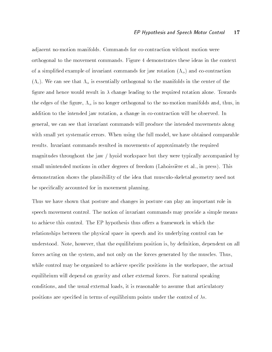adjacent no-motion manifolds. Commands for co-contraction without motion were orthogonal to the movement commands Figure demonstrates these ideas in the context of a simplified example of invariant commands for jaw rotation  $(\Lambda_{\alpha})$  and co-contraction  $(\Lambda_c)$ . We can see that  $\Lambda_\alpha$  is essentially orthogonal to the manifolds in the center of the figure and hence would result in  $\lambda$  change leading to the required rotation alone. Towards the edge of the gure-to-the nomotion manifolds and  $\mathbf{u}$ addition to the intended jaw rotation, a change in cocontract contract will be observed in general-we can see that invariant communications will produce the intended movements along with small yet systematic errors When using the full model-terrors When using the full modelresults Invariant commands resulted in movements of approximately the required magnitudes throughout the jaw  $/$  hyoid workspace but they were typically accompanied by small unitended motions in other degrees of freedom Laboissiere et al-matrix  $\mathbf{I}$ demonstration shows the plausibility of the idea that musculo-skeletal geometry need not be specifically accounted for in movement planning.

Thus we have shown that posture and changes in posture can play an important role in speech movement control. The notion of invariant commands may provide a simple means to achieve this control. The EP hypothesis thus offers a framework in which the relationships between the physical space in speech and its underlying control can be understood Note-American position-by denition-by denition-by denition-by denition-by denition-by denition-by d forces acting on the system- and not only on the forces generated by the muscles Thuswhile control may be organized to achieve species in the works positions in the works positions in the works p equilibrium will depend on gravity and other external forces. For natural speaking conditions, which was not denote the usual document to assume that when the usual conditions  $\mu$ positions are specified in terms of equilibrium points under the control of  $\lambda$ s.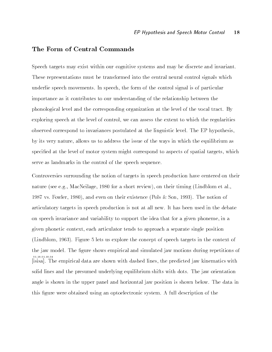### The Form of Central Commands

Speech targets may exist within our cognitive systems and may be discrete and invariant These representations must be transformed into the central neural control signals which underlie speech movements In speech- movements In speech- the control signal is of particular is of particular importance as it contributes to our understanding of the relationship between the phonological level and the corresponding organization at the level of the vocal tract. By exploring speech at the level of control- we can assess the extent to which the regularities observed correspond to invariances postulated at the linguistic level. The EP hypothesis, by its very nature- allows us to address the issue of the ways in which the equilibrium as species at the level of motor system might correspond to aspect of spatial targets-definition of spatial targetsserve as landmarks in the control of the speech sequence

Controversies surrounding the notion of targets in speech production have centered on their nature see ega control complete the short review of the control to move the short review of the short review- $\mathbb{R}^n$  . The notion of the notion of the notion of the notion of the notion of the notion of the notion of the notion of the notion of the notion of the notion of the notion of the notion of the notion of the notion o articulatory targets in speech production is not at all new It has been used in the debate on speech invariance and variability to support the idea that for a given phoneme- in a en phonetic context-phonetic context-position article position and the separate position of the separate single position of the separate single position of the separate single position of the separate single position of th  $\mathcal{L}$  is the concept of speech targets us expect of speech targets in the context of speech targets in the context of speech targets in the context of speech targets in the context of speech targets in the context of s the jaw model. The figure shows empirical and simulated jaw motions during repetitions of isisa The empirical data are shown with dashed lines- the predicted jaw kinematics with - solid lines and the presumed underlying equilibrium shifts with dots. The jaw orientation angle is shown in the upper panel and horizontal jaw position is shown below The data in this figure were obtained using an optoelectronic system. A full description of the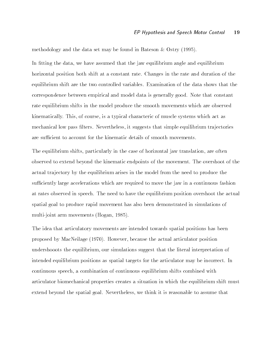methodology and the data set may be found in Bateson  $\&$  Ostry (1995).

In tting the data- we have assumed that the jaw equilibrium angle and equilibrium horizontal position both shift at a constant rate Changes in the rate and duration of the equilibrium shift are the two controlled variables Examination of the data shows that the correspondence between empirical and model data is generally good. Note that constant rate equilibrium shifts in the model produce the smooth movements which are observed kinematically This- of course- is a typical characteric of muscle systems which act as mechanical low pass lters it such that simple equipment is suggested that simple equipment is supported to the

. The equilibrium shifts- particularly in the case of horizontal jaw translation- are often the case of observed to extend beyond the kinematic endpoints of the movement The overshoot of the actual tra jectory by the equilibrium arises in the model from the need to produce the su ciently large accelerations which are required to move the jaw in a continuous fashion at rates observed in speech The need to have the equilibrium position overshoot the actual spatial goal to produce rapid movement has also been demonstrated in simulations of multijoint arm movements Hogan- 

The idea that articulatory movements are intended towards spatial positions has been proposed by MacNeiland, proposed by MacNeilage the articulator position articulator position articulator position  $\mathcal{W}^{\mathbf{A}}$ intended equilibrium positions as spatial targets for the articulator may be incorrect In continuous specific combination of compiled with shifts compiled with shifts compiled with shifts compiled with articulator biomechanical properties creates a situation in which the equilibrium shift must extend beyond the spatial general service in the spanish is reasonable to assume the contract that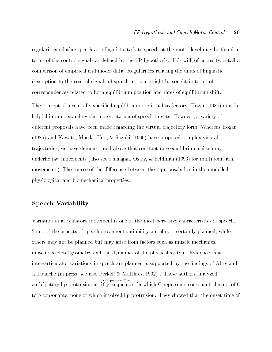regularities relating speech as a linguistic task to speech at the motor level may be found in terms of the control signals as denotes the EP hypothesis This will-denote the EP hypothesis This willcomparison of empirical and model data Regularities relating the units of linguistic description to the control signals of speech motions might be sought in terms of correspondences related to both equilibrium position and rates of equilibrium shift The concept of a centrally specied equilibrium or virtual tra jectory Hogan-  may be helpful in understanding the representation of speech targets However- a variety of different proposals have been made regarding the virtual trajectory form. Whereas Hogan  and Kawato- Maeda- Uno- Suzuki  have proposed complex virtual tra jectories- we have demonstrated above that constant rate equilibrium shifts may underlie ja valtaman movements also see Flanagan-Television in television in television in television in telev movements). The source of the difference between these proposals lies in the modelled physiological and biomechanical properties

### Speech Variability

Variation in articulatory movement is one of the most pervasive characteristics of speech some of the aspects of speech movement almost variable are almost certainly planned-up that are all others may not be planned but may arise from factors such as muscle mechanicsmusculoskeletal geometry and the dynamics of the physical system Evidence that inter-articulator variations in speech are planned is supported by the findings of Abry and Lallouache in press- see also Perkell Matthies-  These authors analyzed anticipatory lip protrusion in iCy sequences- in which C represents consonant clusters of  $91$ , (upper case C),  $99$ to consonants- none of which involved lip protrusion They showed that the onset time of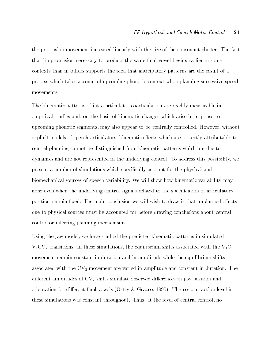the protrusion movement increased linearly with the size of the consonant cluster The fact that lip protrusion necessary to produce the same final vowel begins earlier in some contexts than in others supports the idea that anticipatory patterns are the result of a process which takes account of upcoming phonetic context when planning successive speech movements

The kinematic patterns of intra-articulator coarticulation are readily measurable in empirical studies and basis of the basis of the basis of the basis of the basis of the basis of the basis of t with a second phonetic segments of the controlled However-Controlled However-Controlled However-Controlled Howeverexplicit models of speech articulators- kinematic extension articulators- correctly attributable to the correct central planning cannot be distinguished from kinematic patterns which are due to dynamics and are not represented in the underlying control To address this possibility- we present a number of simulations which specifically account for the physical and biomechanical sources of speech variability We will show how kinematic variability may arise even when the underlying control signals related to the specification of articulatory position remain fixed. The main conclusion we will wish to draw is that unplanned effects due to physical sources must be accounted for before drawing conclusions about central control or inferring planning mechanisms

Using the jaw model- we have studied the predicted kinematic patterns in simulated VCV- transitions In these simulations- the equilibrium shifts associated with the VC movement remain constant in duration and in amplitude while the equilibrium shifts associated with the CV- movement are varied in amplitude and constant in duration The die erent amplitudes of CV-<sub>2</sub> communicates in direction and construction and join position and more orientation for di erent nal vowels Ostry Gracco-  The cocontraction level in these simulations was constant throughout Thus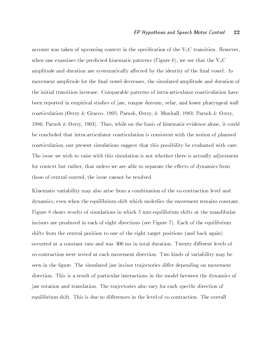account was taken of upcoming context in the specification of the  $V_1C$  transition. However, when one examines the predicted kinematic patterns  $\mathbf{F}$  and  $\mathbf{F}$  and VCC  $\mathbf{F}$ amplitude and duration are systematically affected by the identity of the final vowel. As movement amplitude for the nal vowel decreases- the simulated amplitude and duration of the initial transition increase. Comparable patterns of intra-articulator coarticulation have been reported in empirical studies of jaw- tongue dorsum- velar- and lower pharyngeal wall coarticulation Ostry Gracco-  Parush- Ostry- Munhall-  Parush Ostry- Parush Ostry-  Thus- while on the basis of kinematic evidence alone- it could be concluded that intra-articulator coarticulation is consistent with the notion of planned come our present simulation-this possibility be evaluated with career possibility be evaluated with career possibility be evaluated with career possibility be evaluated with career possibility be evaluated with career poss The issue we wish to raise with this simulation is not whether there is actually adjustment for context but rather-definition  $\mathbf{I}$ those of central control- the issue cannot be resolved be resolved by the issue cannot be resolved by the issue

Kinematic variability may also arise from a combination of the cocontraction level and dynamics- the even when the equipment constants the movement remains the movement remains constants the moveme Figure 8 shows results of simulations in which 5 mm equilibrium shifts at the mandibular incisors are produced in each of eight directions (see Figure 7). Each of the equilibrium shifts from the central position to one of the eight target positions (and back again) occurred at a constant rate and was 300 ms in total duration. Twenty different levels of cocontraction were tested at each movement direction Two kinds of variability may be seen in the figure. The simulated jaw incisor trajectories differ depending on movement direction. This is a result of particular interactions in the model between the dynamics of jaw rotation and translation. The trajectories also vary for each specific direction of equilibrium shift. This is due to differences in the level of co-contraction. The overall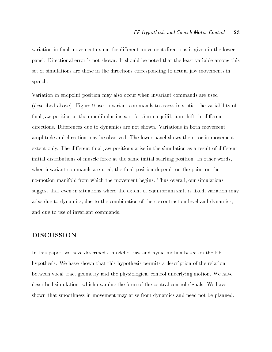variation in final movement extent for different movement directions is given in the lower panel. Directional error is not shown. It should be noted that the least variable among this set of simulations are those in the directions corresponding to actual jaw movements in speech

Variation in endpoint position may also occur when invariant commands are used (described above). Figure 9 uses invariant commands to assess in statics the variability of final jaw position at the mandibular incisors for 5 mm equilibrium shifts in different directions. Differences due to dynamics are not shown. Variations in both movement amplitude and direction may be observed. The lower panel shows the error in movement extent only. The different final jaw positions arise in the simulation as a result of different initial distributions of muscle force at the same initial starting position. In other words, when invariant communication invariant communication depends on the point on the point on the point on the poi nomotion manifold from which the movement begins Thus overall- our simulations suggest that even in situations where the extent of equilibrium shift is xed-sity theoretically the extent  $\mu$ arise due to dynamics- due to the combination and dynamics- and dynamics- and dynamicsand due to use of invariant commands

### DISCUSSION

In this paper- we have described a model of jaw and hyoid motion based on the EP hypothesis We have shown that this hypothesis permits a description of the relation between vocal tract geometry and the physiological control underlying motion We have described simulations which examine the form of the central control signals. We have shown that smoothness in movement may arise from dynamics and need not be planned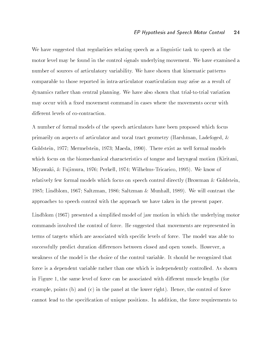We have suggested that regularities relating speech as a linguistic task to speech at the motor level may be found in the control signals underlying movement. We have examined a number of sources of articulatory variability We have shown that kinematic patterns comparable to those reported in intra-articulator coarticulation may arise as a result of dynamics rather than central planning. We have also shown that trial-to-trial variation may occur with a fixed movement command in cases where the movements occur with different levels of co-contraction.

A number of formal models of the speech articulators have been proposed which focus primarily on aspects of articulator and vocal tract geometry Harshman- Ladefoged- Goldstein- 

 Mermelstein- 
 Maeda-  There exist as well formal models which focus on the biomechanical characteristics of tongue and laryngeal motion (Kiritani,  $M$  is a set of the set of the set of the set of the set of the set of the set of the set of the set of the set of the set of the set of the set of the set of the set of the set of the set of the set of the set of the set relatively few formal models which focus on speech control directly (Browman  $\&$  Goldstein, array manaratany ary 11 metambang array membentahan at anahantany array yi sirah siratanan saara approaches to speech control with the approach we have taken in the present paper

Lindblom (1967) presented a simplified model of jaw motion in which the underlying motor commands involved the control of force He suggested that movements are represented in terms of targets which are associated with specific levels of force. The model was able to successfully predicted and open vowels between closed and open vowels However-Closed and open vowels Howeverweakness of the model is the choice of the control variable It should be recognized that force is a dependent variable rather than one which is independently controlled. As shown in Figure - the same level of force can be associated with discussion associated with  $\lambda$ examples, points (a) when (a) for the panels for the samely designed, the control of forcecannot lead to the specication of unique positions In addition- the force requirements to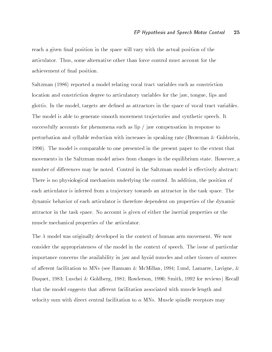reach a given final position in the space will vary with the actual position of the articulator Thus- some alternative other than force control must account for the achievement of final position.

Saltzman (1986) reported a model relating vocal tract variables such as constriction location and constriction degree to articulatory variables for the jaw- tongue- lips and grottis in the model-as attractors in the space of variables as an as attractors in the space of variables in The model is able to generate smooth movement tra jectories and synthetic speech It successfully accounts for phenomena such as  $\text{lip }/$  jaw compensation in response to perturbation and syllable reduction with increases in speaking rate (Browman  $\&$  Goldstein. 1990). The model is comparable to one presented in the present paper to the extent that movements in the Saltzman model arises from changes in the equilibrium state However- $\mathbf{H}$ number of differences may be noted. Control in the Saltzman model is effectively abstract: There is no physical mechanism underlying the control In addition-In addition-In addition-In addition-In addition-In addition-In addition-In addition-In addition-In addition-In addition-In addition-In addition-In addition each articulator is inferred from a tra jectory towards an attractor in the task space The dynamic behavior of each articulator is therefore dependent on properties of the dynamic attractor in the task space No account is given of either the inertial properties or the muscle mechanical properties of the articulator

The  $\lambda$  model was originally developed in the context of human arm movement. We now consider the appropriateness of the model in the context of speech The issue of particular importance concerns the availability in jaw and hyoid muscles and other tissues of sources of a erent facilitation to MNs see Hannam  $\mathbb{R}$  . The MNs see Hannam  $\mathbb{R}$  and  $\mathbb{R}$ a represent a communication of the contract of the communications are accessively considered to the communication of the communication of the communication of the communication of the communication of the communication of that the model suggests that afferent facilitation associated with muscle length and velocity sum with direct central facilitation to - MNS Muscle spindle receptors may be a major central facilitation of the central facilitation of the central facilitation of the central facilitation of the central facilit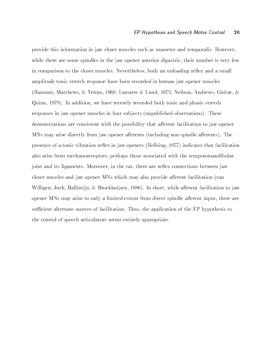provide this information in jaw closer muscles such as masseter and temporalis. However, while there are some spindles in the jaw opener and jaw opener and the jaw opener and their number is very few in comparison to the closer muscles Nevertheless- both an unloading reex and a small amplitude tonic stretch response have been recorded in human jaw opener muscles Hannam- Matthews- Yemm-  Lamarre Lund- 
 Neilson- Andrews- Guitar-  $\mathbf w$  and the function-different both tonic and phasic stretch tonic stretch tonic stretch tonic stretch tonic stretch to responses in jaw opener muscles in four subjects (unpublished observations). These demonstrations are consistent with the possibility that afferent facilitation to jaw opener MNs may arise directly from jaw opener afferents (including non-spindle afferents). The indicates the state of a tonic vibration relation relation relationship  $\mathbf{A}$  in the facilitation relation relation relationship relationship relationship relationship relationship relationship relationship relationshi also arise from mechanoreceptors- perhaps those associated with the temporomandibular joint and its ligaments Moreover- in the rat- there are reex connections between jaw closer muscles and jaw opener MNs which may also provide afferent facilitation (van willigen- Juch- and the short-short-short-short-short-short-short-short-short-short-short-short-short-short-short-short-short-short-short-short-short-short-short-short-short-short-short-short-short-short-short-short-shortop there may arise to direct and animalized extention of the direct spindlers and there are an area of the cont su cient alternate sources of facilitation Thus- the application of the EP hypothesis to the control of speech articulators seems entirely appropriate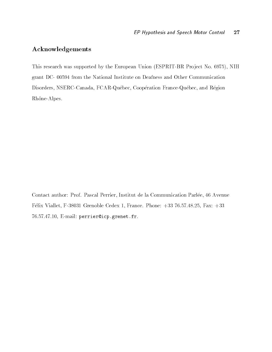### Acknowledgements

This research was supported by the European Union Espaina Union European Union Espaina Union Espaina Union Esp grant DC-00594 from the National Institute on Deafness and Other Communication a eration france community a coop question france and results queen france and the cooperation Rhône-Alpes.

Contact author Prof Pascal Perrier- Institut de la Communication Parl ee- Avenue F elix Viallet- F Grenoble Cedex - France Phone " 

- Fax " rolofit i de la filositie provincial perrieric perrieric et al.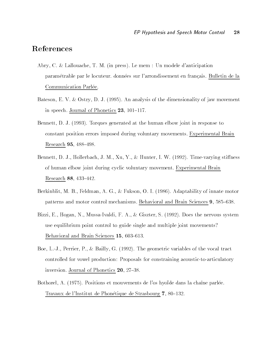## References

- $\mathcal{A}$  abry-de-danticipation  $\mathcal{A}$  and  $\mathcal{A}$  are defined danticipation of the danticipation of the dans of the dans of the dans of the dans of the dans of the dans of the dans of the dans of the dans of the dans o param etrable par le locuteur, données sur l'arrondissement en français. Bulletin de la Communication Parlée.
- Bateson- E V Ostry- D J  An analysis of the dimensionality of jaw movement in speech, gournal of Phonetics - of Torrest
- e the the state of the state at the second control of the state at the state of the state of the state of the constant position errors imposed during voluntary movements Experimental Brain Research - \$
- a finitely a finite stimulation of the stimulation of the stimulation of the stimulation of the stimulation of of human elbow joint during cyclic voluntary movement Experimental Brain Research - \$
- , a second-comparability of the model of the second comparability of the context of the second comparability of patterns and motor control mechanisms Behavior and Brain Sciences and Brain Sciences **a** LOOO COOL
- a-bizzi-en a-a-gunt eur en does e unent e leert de le present en terre de le present en le present le present use equilibrium point control to guide single and multiple joint movements  $B$  character and  $B$  rain  $B$  cremes  $\bullet$  . Supplying  $B$
- ers, en algebra en die eerste van die variables of the variables of the variables of the variables of the vari controlled for vowel production: Proposals for constraining acoustic-to-articulatory in classic of all  $\alpha$  is a nonceptible  $\alpha$  . It is a set of  $\alpha$
- a position, parl e gravements de los hydrogenes de los hydrogenes de los hydrogenes (parl en chanter) Travaux de l'Institut de l'Institution de Strasbourg - l'OC-LOB.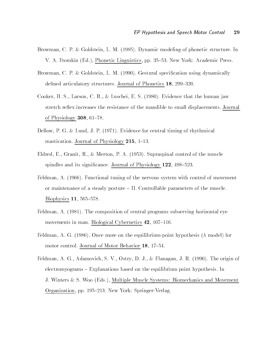- Browman- C P Goldstein- L M  Dynamic modeling of phonetic structure In V A Fromkin Ed- Phonetic Linguistics- pp \$ New York Academic Press
- are control to a control of the control of the control of the control of the control of the control of the control of the control of the control of the control of the control of the control of the control of the control of  $\alpha$  denote which denotes  $\alpha$  is the denoted by  $\alpha$  denotes. The production  $\alpha$  is  $\alpha$
- cooker-larson-larson-larson-larson-larson-larson-larson-larson-larson-larson-larson-larson-larson-larson-larso stretch reflex increases the resistance of the mandible to small displacements. Journal of Physiology - \$
- $\mathbb{R}$  and  $\mathbb{R}$  p G  $\mathbb{R}$  and  $\mathbb{R}$  and  $\mathbb{R}$  and  $\mathbb{R}$  and  $\mathbb{R}$  and  $\mathbb{R}$  and  $\mathbb{R}$  and  $\mathbb{R}$  and  $\mathbb{R}$  and  $\mathbb{R}$  and  $\mathbb{R}$  and  $\mathbb{R}$  and  $\mathbb{R}$  and  $\mathbb{R}$  and  $\mathbb{R}$  and  $\ldots$   $\ldots$   $\ldots$   $\ldots$   $\ldots$   $\ldots$   $\ldots$   $\ldots$   $\ldots$   $\ldots$   $\ldots$   $\ldots$   $\ldots$   $\ldots$
- Eldred- E- Granit- R- Merton- P A  Supraspinal control of the muscle  $\sim$  pindles and its significantes. Outline of Filestral Fine Fig. 1999.
- $\mathcal{F}$  functional tuning of the nervous system with control of movement  $\mathcal{F}$ or maintenance of a steady posture  $-$  II. Controllable parameters of the muscle.  $\mathbf{B}$  is part of  $\mathbf{B}$  and  $\mathbf{B}$  are  $\mathbf{B}$  . Such that  $\mathbf{B}$
- Feldman- A  The composition of central programs subserving horizontal eye  $\cdots$  . Chronol in mann Biological Cybernetics  $\cdots$  is the state.
- Feldman- A G  Once more on the equilibriumpoint hypothesis model for motor control Journal of Mictor Behavior 201 to 31.
- $\mathbb{R}$  and  $\mathbb{R}$  are original of  $\mathbb{R}$  . The original of  $\mathbb{R}$  and  $\mathbb{R}$  are original of  $\mathbb{R}$  and  $\mathbb{R}$  are original original original original original original original original original original or  $\alpha$  electromyograms  $\alpha$  Explanations based on the equilibrium point hypothesis. In J Winters S Woo Eds- Multiple Muscle Systems Biomechanics and Movement . Organization-between the springers of the springers of the springers of the springers of the springer of the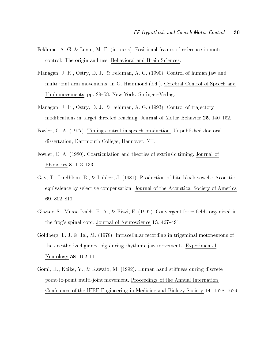- Feldman- A G Levin- M F in press Positional frames of reference in motor control: The origin and use. Behavioral and Brain Sciences.
- Flanagan- J R- Ostry- D J- Feldman- A G  Control of human jaw and multipoint move into the extra one of dominants in  $\mathcal{C}$  and  $\mathcal{C}$  of  $\mathcal{C}$  and  $\mathcal{C}$  of  $\mathcal{C}$  and  $\mathcal{C}$ movement is the second property of the contract of the present of the second the space of the space of the space of the space of the space of the space of the space of the space of the space of the space of the space of th
- Flanagan- J R- Ostry- D J- Feldman- A G  Control of tra jectory  $\cdots$  and  $\cdots$  and  $\cdots$  and  $\cdots$  are  $\cdots$  are  $\cdots$  and  $\cdots$  are  $\cdots$  are  $\cdots$  . Then  $\cdots$   $\cdots$
- $\mathbf{F}$  and  $\mathbf{F}$  are the control in speech production  $\mathbf{F}$  and  $\mathbf{F}$  are the control in specific doctoral in specific doctoral in the control in the control in the control in the control in the control in the dissertation-between-dissertation-dissertation-dissertation-dissertation-dissertation-dissertation-dissertation-
- Fowler- C A  Coarticulation and theories of extrinsic timing Journal of  $\blacksquare$  none is  $\blacksquare$
- Gay- T- Lindblom- B- Lubker- J  Production of biteblock vowels Acoustic equivalence by selective compensation Journal of the Acoustical Society of America - \$
- $\mathcal{S}$  and  $\mathcal{S}$  are set of all  $\mathcal{S}$  . In the convergence of  $\mathcal{S}$  , we have a set of  $\mathcal{S}$  and  $\mathcal{S}$  are an organization of  $\mathcal{S}$ the frogs spinal cord, o chilen of Neuroscience 20, 10, 10, 10
- Goldberg, The Collection in the Collection in the cordinate in the Collection of the Collection in the Collection of the Collection in the Collection of the Collection of the Collection of the Collection of the Collection the anesthetized guinea pig during rhythmic jaw movements Experimental  $\ldots$  .  $\ldots$  ,  $\ldots$  ,  $\ldots$
- governi stille i stille stille i stille and the stille stille stille in the still stiller of the state of the point-to-point multi-joint movement. Proceedings of the Annual Internation Conference of the IEEE Engineering in Medicine and Biology Society - \$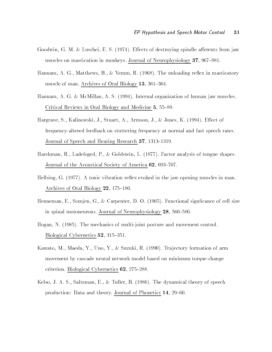- Goodwin- G M Luschei- E S 
 E ects of destroying spindle a erents from jaw  $\cdots$  . The state of  $\cdots$  is the money of  $\alpha$  and  $\cdots$  of  $\cdots$  of  $\cdots$  of  $\cdots$  of  $\cdots$  of  $\cdots$
- Hannam- A G- Matthews- B- Yemm- R  The unloading reex in masticatory  $\ldots$  . The contract of  $\alpha$  or  $\alpha$  are  $\alpha$  and  $\alpha$  are  $\alpha$  or  $\alpha$  .
- Hannam- A G McMillan- A S  Internal organization of human jaw muscles Critical Reviews in Oral Biology and Medicine - 100 OC.
- $\mathcal{M}$  is the studies of the studies of the studies of the studies of the studies of the studies of the studies of the studies of the studies of the studies of the studies of the studies of the studies of the studies of frequency-altered feedback on stuttering frequency at normal and fast speech rates. Journal of Speech and Hearing Research - \$
- Harshman- R- Ladefoged- P- Goldstein- L 

 Factor analysis of tongue shapes  $\sigma$  carnet of the recomplished society of remember  $\sigma = \sigma$  (see Fig. ).
- Hellsing- G 

 A tonic vibration reex evoked in the jaw opening muscles in man  $\mathbf{A}$
- Henneman- E- Somjen- G- Carpenter- D O  Functional signcance of cell size in spinal motoneurons, goarnal of Neurophysiology - Stroop Goot
- Hogan- N  The mechanics of multijoint posture and movement control  $B$  is a set  $C$ , set it is the set of  $B$  is  $C$  .
- $\mathbb{R}$  . The matrix formation of armor for a suzuki-formation of armor formation of armor formation of armor for armor for a surface  $\mathbb{R}$ movement by cascade neural network model based on minimum torquechange criterion, Biological Cybernetics Sot Stevensen
- Kelso- J A S- Saltzman- E- Tuller- B  The dynamical theory of speech  $p$ roduction, Data and theory, gournal or F honetics  $\pm 1$ , so to,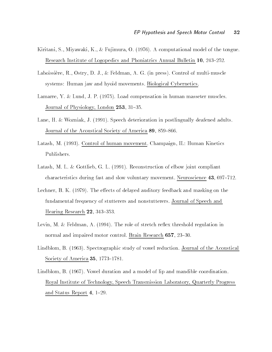- Kiritani- S- Miyawaki- K- Fujimura- O 
 A computational model of the tongue research Institute of Hogopedics and Institution Infinition Annual Bulletin Pal Bio Bobi
- Laboissiere- R- Ostry- D J- Feldman- A G in press Control of multimuscle systems: Human jaw and hyoid movements. Biological Cybernetics.
- Lamarre- Y Lund- J P 
 Load compensation in human masseter muscles  $\sigma$  cannon of Physiology-Bohach  $\equiv$   $\sigma$  ,  $\sigma$  ,  $\sigma$
- Lane- H Wozniak- J  Speech deterioration in postlingually deafened adults  $\sigma$  carnet of the Acoustical Society of America  $\bullet \bullet \bullet$  (000).
- Latash- M  Control of human movement Champaign- IL Human Kinetics Publishers
- $\mathbf 1$  . The construction of electronic of electronic of electronic of electronic of electronic of electronic of electronic of  $\mathbf 1$ characteristics during fast and slow voluntary movement and slow victories and the state of  $\alpha$
- accessively at the contracts of the extent and masking and masking on the contract of the contract of the contr fundamental frequency of stutterers and nonstutterers Journal of Speech and  $\ldots$
- arries, sie in a feldman, eer <sub>l</sub>atte alle office en the role endeavour en<sub>d</sub> menten in the normal when  $\frac{1}{2}$  and  $\frac{1}{2}$  and  $\frac{1}{2}$  controls in Brain Research -  $\frac{1}{2}$  and  $\frac{1}{2}$
- $\Box$  and  $\Box$  study of  $\Box$  study of voltages of the Acoustical of the Acoustical of the Acoustical of the Acoustical of the Acoustical of the Acoustical of the Acoustical of the Acoustical of the Acoustical of the Acoust  $S$  occupied at  $S$  . The set of  $S$  is the set of  $S$  is the set of  $S$  is the set of  $S$
- Lindblom- B 
 Vowel duration and a model of lip and mandible coordination Royal Institute of Technology- Speech Transmission Laboratory- Quarterly Progress  $\alpha$ nd  $\beta$  vavad report right  $\alpha$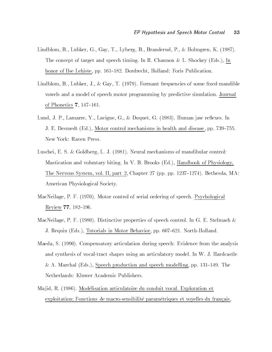- Lindblom- B- Lubker- G- Gay- T- Lyberg- B- Branderud- P- Holmgren- K  The concept and speech time In R  $\sim$  1.1  $\sim$  1.1  $\sim$  1.1  $\sim$  1.1  $\sim$  1.1  $\sim$  1.1  $\sim$  1.1  $\sim$  1.1  $\sim$  1.1  $\sim$  1.1  $\sim$  1.1  $\sim$  1.1  $\sim$  1.1  $\sim$  1.1  $\sim$  1.1  $\sim$  1.1  $\sim$  1.1  $\sim$  1.1  $\sim$  1.1  $\sim$  1.1  $\sim$  1.1 honor of Ilse Lehiste- pp \$ Dordrecht- Holland Foris Publication
- Lindblom- B- Lubker- J- Gay- T 
 Formant frequencies of some xedmandible vowels and a model of speech motor programming by predictive simulation Journal  $\mathbf{v}$   $\mathbf{r}$  and  $\mathbf{r}$  and  $\mathbf{v}$   $\mathbf{r}$  and  $\mathbf{r}$  and  $\mathbf{r}$  and  $\mathbf{r}$  and  $\mathbf{r}$  and  $\mathbf{r}$  and  $\mathbf{r}$  and  $\mathbf{r}$  and  $\mathbf{r}$  and  $\mathbf{r}$  and  $\mathbf{r}$  and  $\mathbf{r}$  and  $\mathbf{r}$  and  $\mathbf{r}$
- armer, a communication, and any official contract and contract in the members in the communication of the comm J E Desmedt Ed- Motor control mechanisms in health and disease - pp 
\$ New York: Raven Press.
- a di care e se se controllato de la controllato della mandiale della mandiale della controllato della controll Mastication and voluntary biting In V B Brooks Ed- Handbook of Physiology-The Nervous System- vol II- part - Chapter 
 pp pp 
\$
 Bethesda- MA American Physiological Society
- maches are a proportional ordering of serial ordering of serial ordering of serial ordering and the Review - \$
- $\mathcal{P}$  for a properties of speech control in G E  $\mathcal{P}$  . The speech control In G E Stellar speech control In G E Stellar speech control In G E Stellar speech control In G E Stellar speech control In G E Stellar speec J Requin Eds- Tutorials in Motor Behavior- pp 
\$ NorthHolland
- . Since the process of the competition of the competition of the analysis speech  $\alpha$  and the analysis of the analysis and synthesis of vocal-tract shapes using an articulatory model. In W. J. Hardcastle a marchal Eds-Christian production and speech modelling and speech production and speech modelling-Netherlands: Kluwer Academic Publishers.
- Ma jid- R  Mod elisation articulatoire du conduit vocal Exploration et exploitation; Fonctions de macro-sensibilité paramétriques et voyelles du français.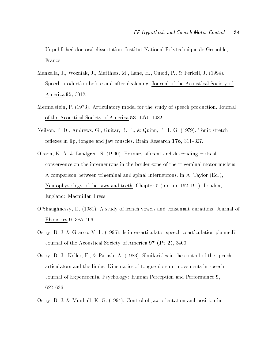Unpublished doctoral dissertation- Institut National Polytechnique de Grenoble-France

- Manzella- J- Wozniak- J- Matthies- M- Lane- H- Guiod- P- Perkell- J  Speech production before and after deafening Journal of the Acoustical Society of America -
- Mermelstein- P 
 Articulatory model for the study of speech production Journal of the Iron accuracy of  $\mathcal{L}$  of America and Iron food.
- Neilson- P D- Andrews- G- Guitar- B E- Quinn- P T G 
 Tonic stretch reexes in lip- tongue and jaw muscles Brain Research - \$
- Olsson, K. Å. & Landgren, S. (1990). Primary afferent and descending cortical convergence on the interneurons in the border zone of the trigeminal motor nucleus A comparison between trigeminal and spinal interneurons. In A. Taylor (Ed.), Neurophysiology of the jaws and teeth - Chapter pp pp \$ London-England: Macmillan Press.
- OShaughnessy- D  A study of french vowels and consonant durations Journal of  $\blacksquare$  nonected  $\blacksquare$  . Judy . Then
- Ostry- D J Gracco- V L  Is interarticulator speech coarticulation planned Journal of the Acoustical Society of America  $\sigma_{\rm P}$  (T t  $\sigma_{\rm P}$ , JT00.
- Ostry- D J- Keller- E- Parush- A  Similarities in the control of the speech articulators and the limbs: Kinematics of tongue dorsum movements in speech. Journal of Experimental Psychology: Human Perception and Performance 9,  $622 - 636.$
- ostry-part of the momental case of policy. Orientation includes the moment position in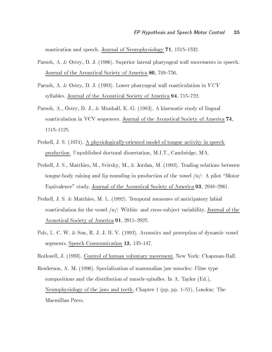$\ldots$  . The specification of  $\alpha$  is a specification of  $\alpha$  is the specification of  $\alpha$  is a specification of  $\alpha$ 

- Parush- A Ostry- D J  Superior lateral pharyngeal wall movements in speech  $\sigma$  carnet or the recompliser positivy or remember  $\sigma \bullet \bullet \bullet \bullet \bullet \bullet \bullet \bullet \bullet \bullet \bullet$
- $\mathbb{R}$  and  $\mathbb{R}$  are pharmonic in  $\mathbb{R}$  . The coarticulation in  $\mathbb{R}$  and  $\mathbb{R}$  are pharmonic in  $\mathbb{R}$  and  $\mathbb{R}$  are pharmonic in  $\mathbb{R}$  and  $\mathbb{R}$  are pharmonic in  $\mathbb{R}$  and  $\mathbb{R}$  are pharmo syllables Journal of the Acoustical Society of America  $\bullet$   $\bullet$   $\bullet$   $\bullet$   $\bullet$
- . A and the part of the contract of the contract of the contract of the contract of the companished and the contract of the contract of the contract of the contract of the contract of the contract of the contract of the co coarticulation in VCV sequences. Journal of the Acoustical Society of America  $74$ ,  $1115 - 1125.$
- e section, a complete proposed model of the model of the model of the species of the speech of the species of production under the doctoral distribution of the distribution of the control of the company of the control of
- er and the state of the state of the state of the state of the state of the state of the state of the state of tongue-body raising and lip rounding in production of the vowel  $/u$ : A pilot "Motor"  $E$  quivalence study Journal of the Acoustical Society of America  $\bullet$  ,  $\bullet$  . Hosti
- e concert at a financial measure of the service in the measure of the service  $\mu$  and the contract of coarticulation for the vowel  $\mu$ : Within- and cross-subject variability. Journal of the  $\mathbf{A}$  . The society of  $\mathbf{A}$  is a set of  $\mathbf{A}$  . The society of  $\mathbf{A}$
- e aangemeente an die Son-Afrikaanse begin het die gewone van die Domaine van die Son-Afrikaanse voormee van di segments Speech Communication - \$
- Rothwell- J  Control of human voluntary movement New York ChapmanHall
- Rowlerson- A M  Specialization of mammalian jaw muscles Fibre type compositions and the distribution of muscle spindles. In A. Taylor  $(Ed.)$ , Neurophysiology of the jaws and teeth - Chapter pp pp \$ London The Macmillan Press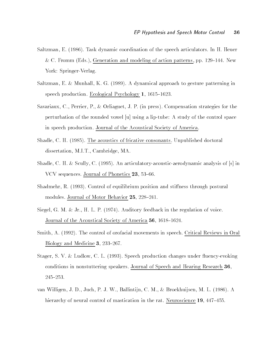- Saltzman- E  Task dynamic coordination of the speech articulators In H Heuer C Fromm Eds- Generation and modeling of action patterns - pp \$ New York: Springer-Verlag.
- saltzman-kan og elementen, een oli (evolv). Ie ligenteer oly personer in Allinear patterning in the speech production Ecological Psychology - \$
- savariaux, eile corrected in pressum and the press for the compensation strategies for the competition of the perturbation of the rounded vowel  $|u|$  using a lip-tube: A study of the control space in speech production Journal of the Acoustical Society of America
- shadle-change-couple-machine-machine-machine-machine-machine-machine-machine-machinedisserted the contract of the company of the contract of the contract of the contract of the contract of the contract of the contract of the contract of the contract of the contract of the contract of the contract of the c
- stadium is the contract of the contract measurer in a matrice and in the contract of second and in the contract VCV sequences Journal of Phonetics -- \$
- shadmed the state of the control of the still control of the stillibrium position and still control of the sti  $\cdots$  . The definition of  $\cdots$  is  $\cdots$  in  $\cdots$  . If  $\cdots$  is  $\cdots$  is  $\cdots$  is  $\cdots$
- signal of the contract the set of the regulation of the regulation of the regulation of  $\mathcal{L}$ Journal of the Acoustical Society of America - \$
- smith- I found the control of orofacial movements in speech of order  $\sim$  and  $\sim$   $\sim$   $\sim$  $B$  is the Medicine of  $B$  is  $B$  if  $B$
- Stager- S V Ludlow- C L  Speech production changes under uencyevoking conditions in nonstuttering speakers. Journal of Speech and Hearing Research 36,  $245 - 253.$
- van willigen, will save a visit a visit manual part of the same and the same of the same of the same of the sa  $\cdots$  are  $\cdots$  . In the state of the rate of the ratio in the rate of the ratio is  $\cdots$  . In the rate  $\cdots$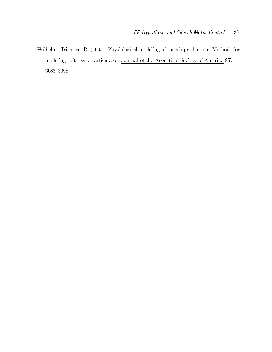WilhelmsTricarico- R  Physiological modeling of speech production Methods for modeling soft-tissues articulator. Journal of the Acoustical Society of America 97,  $3085 - 3098.$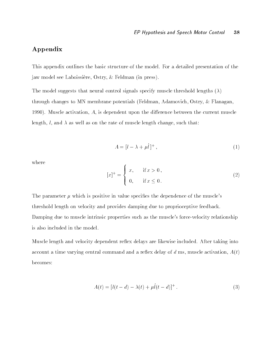### Appendix

This appendix outlines the basic structure of the model. For a detailed presentation of the jaw model see Laboissiere-Laboissiere-Laboissiere-Laboissiere-Laboissiere-Laboissiere-Laboissiere-Laboissiere-

The model suggests that neural control signals specify muscle threshold lengths  $(\lambda)$ through changes to membrane potentials potentials feldman-technicals feldman- Muscle activation- A- is dependent upon the di erence between the current muscle length- l- and as well as on the rate of muscle length change- such that

$$
A = [l - \lambda + \mu l]^+, \tag{1}
$$

where

$$
[x]^{+} = \begin{cases} x, & \text{if } x > 0, \\ 0, & \text{if } x \le 0. \end{cases} \tag{2}
$$

The parameter  $\mu$  which is positive in value specifies the dependence of the muscle's threshold length on velocity and provides damping due to proprioceptive feedback Damping due to muscle intrinsic properties such as the muscle's force-velocity relationship is also included in the model

Muscle length and velocity dependent reflex delays are likewise included. After taking into account a time vary ing central communication and a reex delay of discussion-the material contractionbecomes

$$
A(t) = [l(t - d) - \lambda(t) + \mu l(t - d)]^{+}.
$$
\n(3)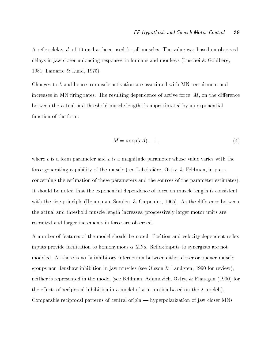A reex delay- d- of ms has been used for all muscles The value was based on observed delays in jaw closer unloading responses in humans and monkeys (Luschei & Goldberg,  $\mathcal{L}$  . Lamarre  $\mathcal{L}$  and  $\mathcal{L}$  and  $\mathcal{L}$  and  $\mathcal{L}$  and  $\mathcal{L}$  and  $\mathcal{L}$  and  $\mathcal{L}$  and  $\mathcal{L}$  and  $\mathcal{L}$  and  $\mathcal{L}$  and  $\mathcal{L}$  and  $\mathcal{L}$  and  $\mathcal{L}$  and  $\mathcal{L}$  and  $\mathcal{L}$  and  $\mathcal{L}$ 

Changes to  $\lambda$  and hence to muscle activation are associated with MN recruitment and increases in MN ring rates  $\mathcal{M}$  rates  $\mathcal{M}$  resulting dependence of active forcebetween the actual and threshold muscle lengths is approximated by an exponential function of the form

$$
M = \rho \exp(cA) - 1,\tag{4}
$$

where c is a form parameter and  $\rho$  is a magnitude parameter whose value varies with the force generating capability of the muscle see Laboissiere- Ostry-Feldman- in press concerning the estimation of these parameters and the sources of the parameter estimates It should be noted that the exponential dependence of force on muscle length is consistent with the size principle Henneman-Henneman-Henneman-Henneman-Henneman-Henneman-Henneman-Henneman-Henneman-Henneman-Henneman-Henneman-Henneman-Henneman-Henneman-Henneman-Henneman-Henneman-Henneman-Henneman-Henneman-Henneman the actual and threshold muscle length increases- progressively larger motor units are recruited and larger increments in force are observed

A number of features of the model should be noted. Position and velocity dependent reflex inputs provide facilitation to homonymous - MNs Reex inputs to synergists are not modeled As there is no Ia inhibitory interneuron between either closer or opener muscle  $\mathbf{A}$  is the contract in jaw muscles see Olsson in the orientation in the orientation of  $\mathbf{A}$ is represented in the model see Feldman- and the model see Feldman and the model see Feldman and the model see F the effects of reciprocal inhibition in a model of arm motion based on the  $\lambda$  model.). Comparable reciprocal patterns of central origin  $-$  hyperpolarization of jaw closer MNs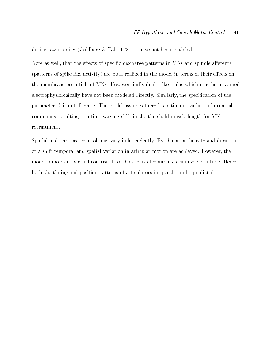during jaw opening Goldberg Tal- 
 \* have not been modeled

Note as well- that the e ects of specic discharge patterns in MNs and spindle a erents (patterns of spike-like activity) are both realized in the model in terms of their effects on the membrane potentials of MNs However- individual spike trains which may be measured electrophysiologically have not been modeled directly Similarly- the specication of the parameters, is no model assumes the model assumes the model assumes variation in continuous variations of communication is the communication of the time variable in the threshold muscle length for MNN and MNN and MNN recruitment

Spatial and temporal control may vary independently By changing the rate and duration of the shift temporal and spatial variation in articular motion and articular motion are achieved the straight model imposes no special constraints on how central commands can evolve in time. Hence both the timing and position patterns of articulators in speech can be predicted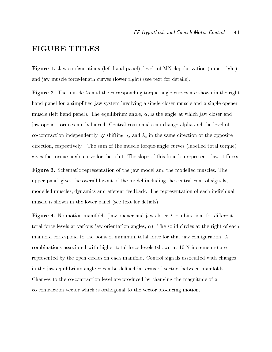## FIGURE TITLES

**Figure 1.** Jaw configurations (for hand paner), levels of M11 depolarization (upper right) and jaw muscle force-length curves (lower right) (see text for details).

**Figure 4.** The muscle As and the corresponding torque-angle curves are shown in the right hand panel for a simplified jaw system involving a single closer muscle and a single opener muscle left hand panel The equilibrium angle- -- is the angle at which jaw closer and jaw opener torques are balanced. Central commands can change alpha and the level of co-contraction independently by shifting  $\lambda_c$  and  $\lambda_o$  in the same direction or the opposite direction-the sum of the sum of the sum of the muscle total total total total total total total to gives the torque-angle curve for the joint. The slope of this function represents jaw stiffness.

 $\bf r$  igure  $\bf v$ , penematic representation or the jaw model and the modelled muscles. The upper panel gives the overall layout of the model including the central control signalsmodelled muscles- dynamics and a erent feedback The representation of each individual muscle is shown in the lower panel (see text for details).

**Figure 7.** IV-motion manifolds (jaw opener and jaw closer  $\lambda$  combinations for different total force it is at various jaw orientation angles- in the right of each circle  $\mathcal{L}_{\mathcal{A}}$ manifold correspond to the point of minimum total force for that jaw configuration.  $\lambda$ combinations associated with higher total force levels (shown at  $10\text{ N}$  increments) are represented by the open circles on each manifold Control signals associated with changes in the jaw equilibrium angle - can be dened in terms of vectors between manifolds Changes to the cocontraction level are produced by changing the magnitude of a cocontraction vector which is orthogonal to the vector producing motion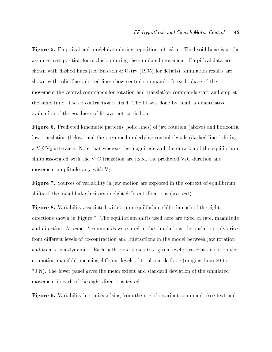Figure **o.** Empirical and model data during repetitions of jisisa]. The hyoid bone is at the assumed rest position for occlusion during the simulated movement Empirical data are shown with dashed lines (see Bateson & Ostry  $(1995)$  for details); simulation results are shown with solid lines; dotted lines show central commands. In each phase of the movement the central commands for rotation and translation commands start and stop at the same time. The co-contraction is fixed. The fit was done by hand; a quantitative evaluation of the goodness of fit was not carried out.

Figure Predicted kinematic patterns solid lines of jaw rotation above and horizontal jaw translation (below) and the presumed underlying control signals (dashed lines) during a VCV- utterance Note that whereas the magnitude and the duration of the equilibrium shifts associated with the VC transition are xed- the predicted VC duration and movement amplitude vary with V-

 $\bf r$  igure  $\bf s$  , bources or variability in jaw motion are explored in the context or equilibrium shifts of the mandibular incisors in eight different directions (see text).

Figure Variability associated with mm equilibrium shifts in each of the eight adirections shown in Figure ... File and an international magnitude in rate-are xed in rate-are xed in rate-are and direction as exact communication were used in the simulations-communications-communications-communication from different levels of co-contraction and interactions in the model between jaw rotation and translation dynamics Each path corresponds to a given level of cocontraction on the nomotion manifold- meaning di erent levels of total muscle force ranging from to 70 N). The lower panel gives the mean extent and standard deviation of the simulated movement in each of the eight directions tested

 $\bf r$  igure  $\bf v$ , variability in statics arising from the use of invariant commands (see text and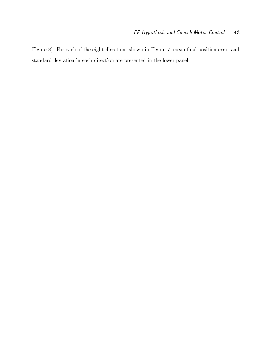Figure For each of the eight directions shown in Figure 
- mean nal position error and standard deviation in each direction are presented in the lower panel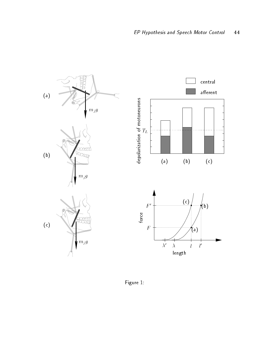

Figure 1: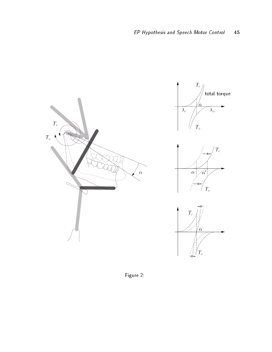

Figure 2: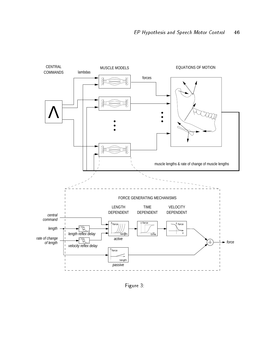

Figure 3: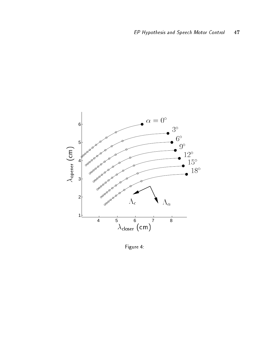

Figure 4: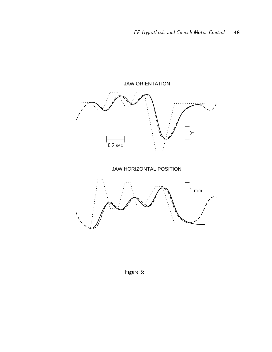

Figure 5: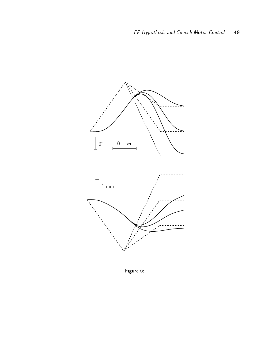

Figure 6: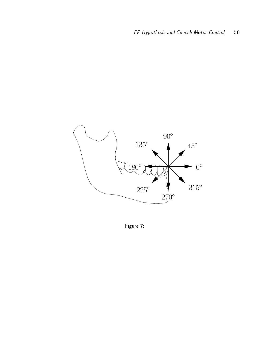

Figure 7: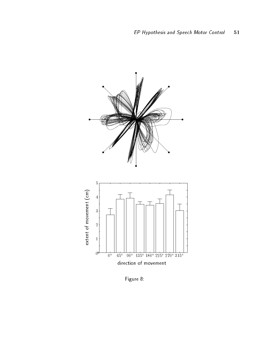

Figure 8: